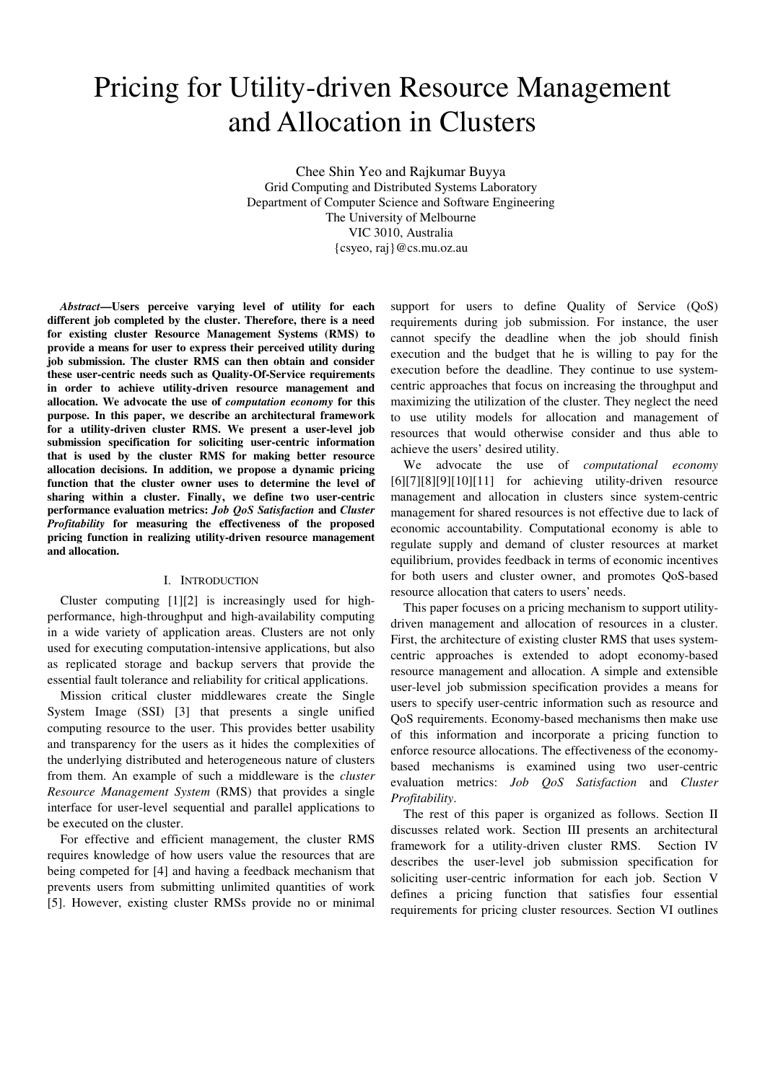# Pricing for Utility-driven Resource Management and Allocation in Clusters

Chee Shin Yeo and Rajkumar Buyya Grid Computing and Distributed Systems Laboratory Department of Computer Science and Software Engineering The University of Melbourne VIC 3010, Australia {csyeo, raj}@cs.mu.oz.au

*Abstract***—Users perceive varying level of utility for each different job completed by the cluster. Therefore, there is a need for existing cluster Resource Management Systems (RMS) to provide a means for user to express their perceived utility during job submission. The cluster RMS can then obtain and consider these user-centric needs such as Quality-Of-Service requirements in order to achieve utility-driven resource management and allocation. We advocate the use of** *computation economy* **for this purpose. In this paper, we describe an architectural framework for a utility-driven cluster RMS. We present a user-level job submission specification for soliciting user-centric information that is used by the cluster RMS for making better resource allocation decisions. In addition, we propose a dynamic pricing function that the cluster owner uses to determine the level of sharing within a cluster. Finally, we define two user-centric performance evaluation metrics:** *Job QoS Satisfaction* **and** *Cluster Profitability* **for measuring the effectiveness of the proposed pricing function in realizing utility-driven resource management and allocation.**

#### I. INTRODUCTION

Cluster computing [1][2] is increasingly used for highperformance, high-throughput and high-availability computing in a wide variety of application areas. Clusters are not only used for executing computation-intensive applications, but also as replicated storage and backup servers that provide the essential fault tolerance and reliability for critical applications.

Mission critical cluster middlewares create the Single System Image (SSI) [3] that presents a single unified computing resource to the user. This provides better usability and transparency for the users as it hides the complexities of the underlying distributed and heterogeneous nature of clusters from them. An example of such a middleware is the *cluster Resource Management System* (RMS) that provides a single interface for user-level sequential and parallel applications to be executed on the cluster.

For effective and efficient management, the cluster RMS requires knowledge of how users value the resources that are being competed for [4] and having a feedback mechanism that prevents users from submitting unlimited quantities of work [5]. However, existing cluster RMSs provide no or minimal

support for users to define Quality of Service (QoS) requirements during job submission. For instance, the user cannot specify the deadline when the job should finish execution and the budget that he is willing to pay for the execution before the deadline. They continue to use systemcentric approaches that focus on increasing the throughput and maximizing the utilization of the cluster. They neglect the need to use utility models for allocation and management of resources that would otherwise consider and thus able to achieve the users' desired utility.

We advocate the use of *computational economy*  $[6][7][8][9][10][11]$  for achieving utility-driven resource management and allocation in clusters since system-centric management for shared resources is not effective due to lack of economic accountability. Computational economy is able to regulate supply and demand of cluster resources at market equilibrium, provides feedback in terms of economic incentives for both users and cluster owner, and promotes QoS-based resource allocation that caters to users' needs.

This paper focuses on a pricing mechanism to support utilitydriven management and allocation of resources in a cluster. First, the architecture of existing cluster RMS that uses systemcentric approaches is extended to adopt economy-based resource management and allocation. A simple and extensible user-level job submission specification provides a means for users to specify user-centric information such as resource and QoS requirements. Economy-based mechanisms then make use of this information and incorporate a pricing function to enforce resource allocations. The effectiveness of the economybased mechanisms is examined using two user-centric evaluation metrics: *Job QoS Satisfaction* and *Cluster Profitability*.

The rest of this paper is organized as follows. Section II discusses related work. Section III presents an architectural framework for a utility-driven cluster RMS. Section IV describes the user-level job submission specification for soliciting user-centric information for each job. Section V defines a pricing function that satisfies four essential requirements for pricing cluster resources. Section VI outlines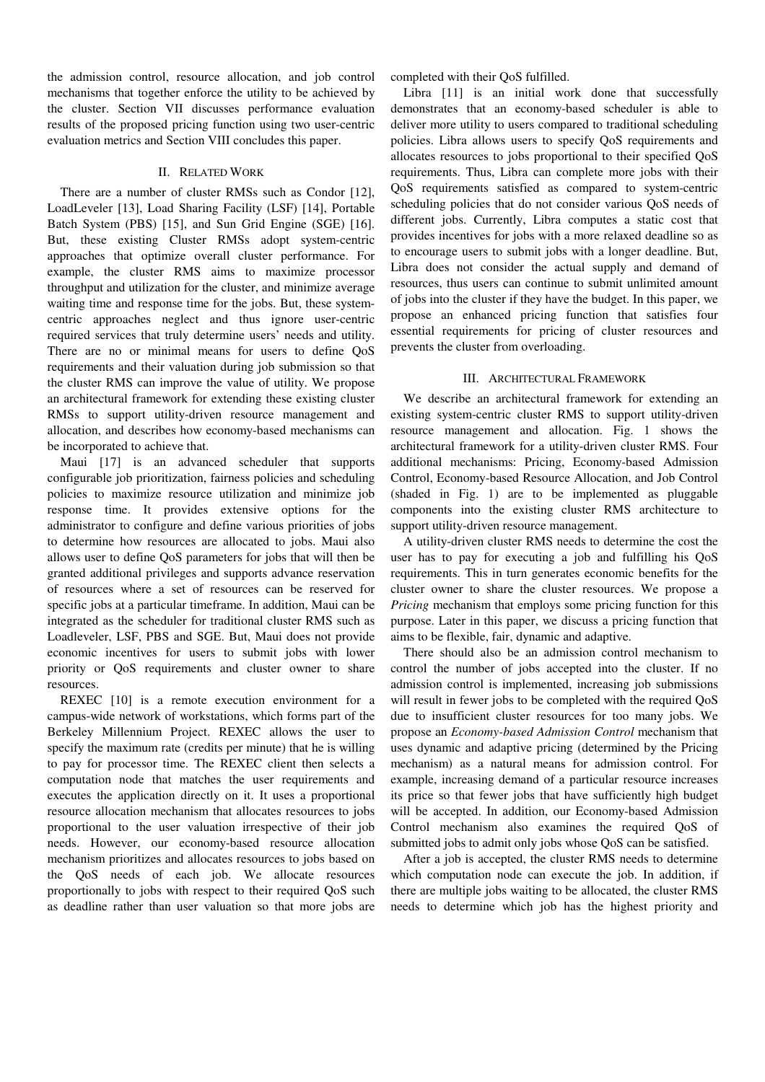the admission control, resource allocation, and job control mechanisms that together enforce the utility to be achieved by the cluster. Section VII discusses performance evaluation results of the proposed pricing function using two user-centric evaluation metrics and Section VIII concludes this paper.

## II. RELATED WORK

There are a number of cluster RMSs such as Condor [12], LoadLeveler [13], Load Sharing Facility (LSF) [14], Portable Batch System (PBS) [15], and Sun Grid Engine (SGE) [16]. But, these existing Cluster RMSs adopt system-centric approaches that optimize overall cluster performance. For example, the cluster RMS aims to maximize processor throughput and utilization for the cluster, and minimize average waiting time and response time for the jobs. But, these systemcentric approaches neglect and thus ignore user-centric required services that truly determine users' needs and utility. There are no or minimal means for users to define QoS requirements and their valuation during job submission so that the cluster RMS can improve the value of utility. We propose an architectural framework for extending these existing cluster RMSs to support utility-driven resource management and allocation, and describes how economy-based mechanisms can be incorporated to achieve that.

Maui [17] is an advanced scheduler that supports configurable job prioritization, fairness policies and scheduling policies to maximize resource utilization and minimize job response time. It provides extensive options for the administrator to configure and define various priorities of jobs to determine how resources are allocated to jobs. Maui also allows user to define QoS parameters for jobs that will then be granted additional privileges and supports advance reservation of resources where a set of resources can be reserved for specific jobs at a particular timeframe. In addition, Maui can be integrated as the scheduler for traditional cluster RMS such as Loadleveler, LSF, PBS and SGE. But, Maui does not provide economic incentives for users to submit jobs with lower priority or QoS requirements and cluster owner to share resources.

REXEC [10] is a remote execution environment for a campus-wide network of workstations, which forms part of the Berkeley Millennium Project. REXEC allows the user to specify the maximum rate (credits per minute) that he is willing to pay for processor time. The REXEC client then selects a computation node that matches the user requirements and executes the application directly on it. It uses a proportional resource allocation mechanism that allocates resources to jobs proportional to the user valuation irrespective of their job needs. However, our economy-based resource allocation mechanism prioritizes and allocates resources to jobs based on the QoS needs of each job. We allocate resources proportionally to jobs with respect to their required QoS such as deadline rather than user valuation so that more jobs are

completed with their QoS fulfilled.

Libra [11] is an initial work done that successfully demonstrates that an economy-based scheduler is able to deliver more utility to users compared to traditional scheduling policies. Libra allows users to specify QoS requirements and allocates resources to jobs proportional to their specified QoS requirements. Thus, Libra can complete more jobs with their QoS requirements satisfied as compared to system-centric scheduling policies that do not consider various QoS needs of different jobs. Currently, Libra computes a static cost that provides incentives for jobs with a more relaxed deadline so as to encourage users to submit jobs with a longer deadline. But, Libra does not consider the actual supply and demand of resources, thus users can continue to submit unlimited amount of jobs into the cluster if they have the budget. In this paper, we propose an enhanced pricing function that satisfies four essential requirements for pricing of cluster resources and prevents the cluster from overloading.

#### III. ARCHITECTURAL FRAMEWORK

We describe an architectural framework for extending an existing system-centric cluster RMS to support utility-driven resource management and allocation. Fig. 1 shows the architectural framework for a utility-driven cluster RMS. Four additional mechanisms: Pricing, Economy-based Admission Control, Economy-based Resource Allocation, and Job Control (shaded in Fig. 1) are to be implemented as pluggable components into the existing cluster RMS architecture to support utility-driven resource management.

A utility-driven cluster RMS needs to determine the cost the user has to pay for executing a job and fulfilling his QoS requirements. This in turn generates economic benefits for the cluster owner to share the cluster resources. We propose a *Pricing* mechanism that employs some pricing function for this purpose. Later in this paper, we discuss a pricing function that aims to be flexible, fair, dynamic and adaptive.

There should also be an admission control mechanism to control the number of jobs accepted into the cluster. If no admission control is implemented, increasing job submissions will result in fewer jobs to be completed with the required OoS due to insufficient cluster resources for too many jobs. We propose an *Economy-based Admission Control* mechanism that uses dynamic and adaptive pricing (determined by the Pricing mechanism) as a natural means for admission control. For example, increasing demand of a particular resource increases its price so that fewer jobs that have sufficiently high budget will be accepted. In addition, our Economy-based Admission Control mechanism also examines the required QoS of submitted jobs to admit only jobs whose QoS can be satisfied.

After a job is accepted, the cluster RMS needs to determine which computation node can execute the job. In addition, if there are multiple jobs waiting to be allocated, the cluster RMS needs to determine which job has the highest priority and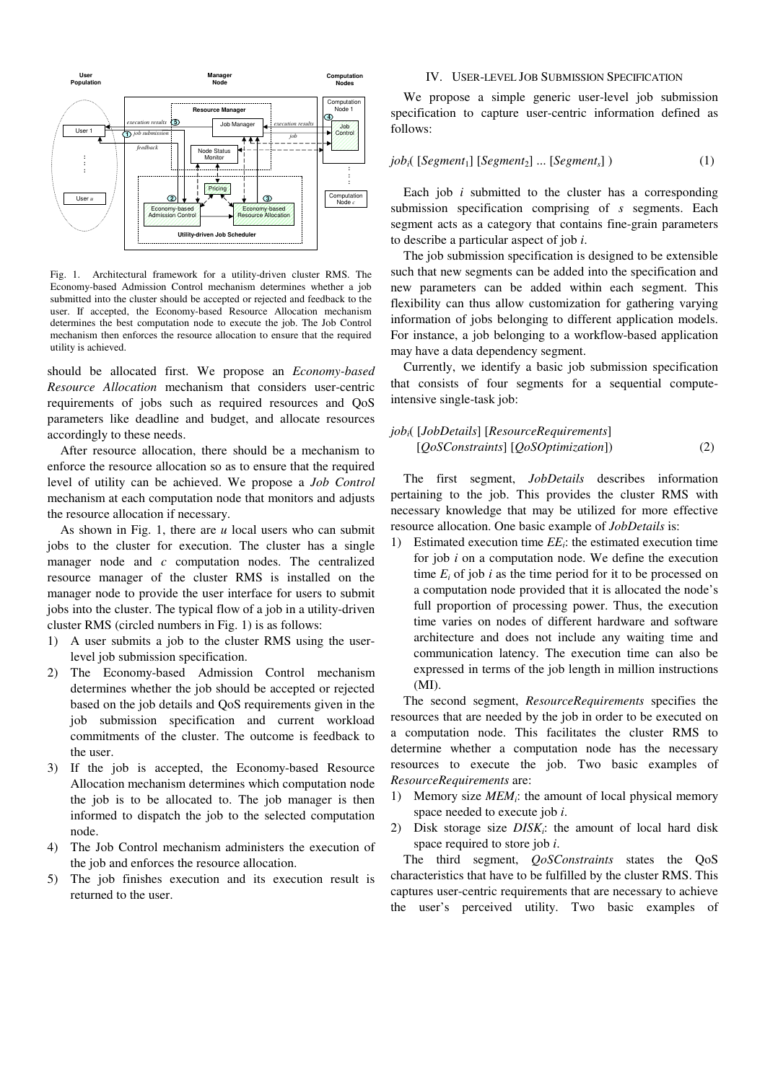

Fig. 1. Architectural framework for a utility-driven cluster RMS. The Economy-based Admission Control mechanism determines whether a job submitted into the cluster should be accepted or rejected and feedback to the user. If accepted, the Economy-based Resource Allocation mechanism determines the best computation node to execute the job. The Job Control mechanism then enforces the resource allocation to ensure that the required utility is achieved.

should be allocated first. We propose an *Economy-based Resource Allocation* mechanism that considers user-centric requirements of jobs such as required resources and QoS parameters like deadline and budget, and allocate resources accordingly to these needs.

After resource allocation, there should be a mechanism to enforce the resource allocation so as to ensure that the required level of utility can be achieved. We propose a *Job Control* mechanism at each computation node that monitors and adjusts the resource allocation if necessary.

As shown in Fig. 1, there are *u* local users who can submit jobs to the cluster for execution. The cluster has a single manager node and *c* computation nodes. The centralized resource manager of the cluster RMS is installed on the manager node to provide the user interface for users to submit jobs into the cluster. The typical flow of a job in a utility-driven cluster RMS (circled numbers in Fig. 1) is as follows:

- 1) A user submits a job to the cluster RMS using the userlevel job submission specification.
- 2) The Economy-based Admission Control mechanism determines whether the job should be accepted or rejected based on the job details and QoS requirements given in the job submission specification and current workload commitments of the cluster. The outcome is feedback to the user.
- 3) If the job is accepted, the Economy-based Resource Allocation mechanism determines which computation node the job is to be allocated to. The job manager is then informed to dispatch the job to the selected computation node.
- 4) The Job Control mechanism administers the execution of the job and enforces the resource allocation.
- 5) The job finishes execution and its execution result is returned to the user.

## IV. USER-LEVEL JOB SUBMISSION SPECIFICATION

We propose a simple generic user-level job submission specification to capture user-centric information defined as follows:

$$
jobi([Segment1] [Segment2] ... [Segments] )
$$
 (1)

Each job *i* submitted to the cluster has a corresponding submission specification comprising of *s* segments. Each segment acts as a category that contains fine-grain parameters to describe a particular aspect of job *i*.

The job submission specification is designed to be extensible such that new segments can be added into the specification and new parameters can be added within each segment. This flexibility can thus allow customization for gathering varying information of jobs belonging to different application models. For instance, a job belonging to a workflow-based application may have a data dependency segment.

Currently, we identify a basic job submission specification that consists of four segments for a sequential computeintensive single-task job:

$$
jobi([JobDetails] [ResourceRequirements][QoSConstraints] [QoSOptimization])
$$
 (2)

The first segment, *JobDetails* describes information pertaining to the job. This provides the cluster RMS with necessary knowledge that may be utilized for more effective resource allocation. One basic example of *JobDetails* is:

1) Estimated execution time  $EE_i$ : the estimated execution time for job *i* on a computation node. We define the execution time  $E_i$  of job *i* as the time period for it to be processed on a computation node provided that it is allocated the node's full proportion of processing power. Thus, the execution time varies on nodes of different hardware and software architecture and does not include any waiting time and communication latency. The execution time can also be expressed in terms of the job length in million instructions  $(MI)$ .

The second segment, *ResourceRequirements* specifies the resources that are needed by the job in order to be executed on a computation node. This facilitates the cluster RMS to determine whether a computation node has the necessary resources to execute the job. Two basic examples of *ResourceRequirements* are:

- 1) Memory size  $MEM_i$ : the amount of local physical memory space needed to execute job *i*.
- 2) Disk storage size *DISK<sup>i</sup>* : the amount of local hard disk space required to store job *i*.

The third segment, *QoSConstraints* states the QoS characteristics that have to be fulfilled by the cluster RMS. This captures user-centric requirements that are necessary to achieve the user's perceived utility. Two basic examples of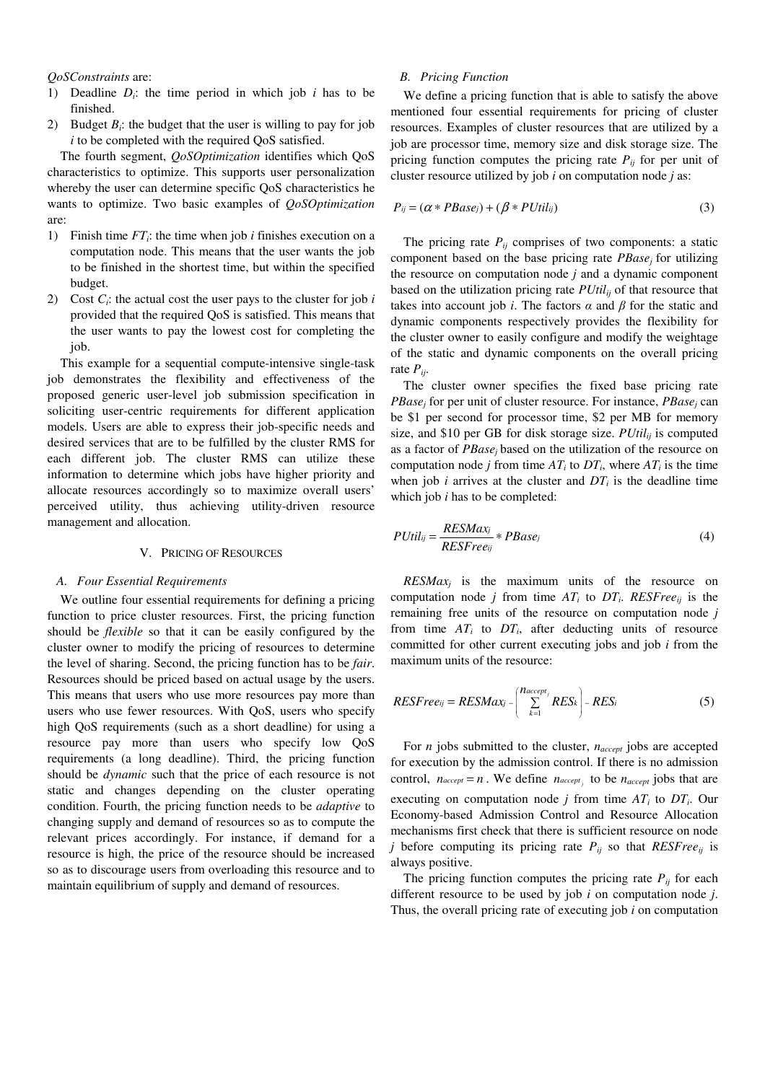*QoSConstraints* are:

- 1) Deadline  $D_i$ : the time period in which job *i* has to be finished.
- 2) Budget  $B_i$ : the budget that the user is willing to pay for job *i* to be completed with the required QoS satisfied.

The fourth segment, *QoSOptimization* identifies which QoS characteristics to optimize. This supports user personalization whereby the user can determine specific QoS characteristics he wants to optimize. Two basic examples of *QoSOptimization* are:

- 1) Finish time  $FT_i$ ; the time when job *i* finishes execution on a computation node. This means that the user wants the job to be finished in the shortest time, but within the specified budget.
- 2) Cost  $C_i$ : the actual cost the user pays to the cluster for job *i* provided that the required QoS is satisfied. This means that the user wants to pay the lowest cost for completing the job.

This example for a sequential compute-intensive single-task job demonstrates the flexibility and effectiveness of the proposed generic user-level job submission specification in soliciting user-centric requirements for different application models. Users are able to express their job-specific needs and desired services that are to be fulfilled by the cluster RMS for each different job. The cluster RMS can utilize these information to determine which jobs have higher priority and allocate resources accordingly so to maximize overall users' perceived utility, thus achieving utility-driven resource management and allocation.

### V. PRICING OF RESOURCES

#### *A. Four Essential Requirements*

We outline four essential requirements for defining a pricing function to price cluster resources. First, the pricing function should be *flexible* so that it can be easily configured by the cluster owner to modify the pricing of resources to determine the level of sharing. Second, the pricing function has to be *fair*. Resources should be priced based on actual usage by the users. This means that users who use more resources pay more than users who use fewer resources. With QoS, users who specify high QoS requirements (such as a short deadline) for using a resource pay more than users who specify low QoS requirements (a long deadline). Third, the pricing function should be *dynamic* such that the price of each resource is not static and changes depending on the cluster operating condition. Fourth, the pricing function needs to be *adaptive* to changing supply and demand of resources so as to compute the relevant prices accordingly. For instance, if demand for a resource is high, the price of the resource should be increased so as to discourage users from overloading this resource and to maintain equilibrium of supply and demand of resources.

#### *B. Pricing Function*

We define a pricing function that is able to satisfy the above mentioned four essential requirements for pricing of cluster resources. Examples of cluster resources that are utilized by a job are processor time, memory size and disk storage size. The pricing function computes the pricing rate  $P_{ij}$  for per unit of cluster resource utilized by job *i* on computation node *j* as:

$$
P_{ij} = (\alpha * PBase_j) + (\beta * PUtil_{ij})
$$
\n(3)

The pricing rate  $P_{ij}$  comprises of two components: a static component based on the base pricing rate *PBase<sup>j</sup>* for utilizing the resource on computation node *j* and a dynamic component based on the utilization pricing rate *PUtilij* of that resource that takes into account job *i*. The factors  $\alpha$  and  $\beta$  for the static and dynamic components respectively provides the flexibility for the cluster owner to easily configure and modify the weightage of the static and dynamic components on the overall pricing rate *Pij* .

The cluster owner specifies the fixed base pricing rate *PBase<sup>j</sup>* for per unit of cluster resource. For instance, *PBase<sup>j</sup>* can be \$1 per second for processor time, \$2 per MB for memory size, and \$10 per GB for disk storage size. *PUtilij* is computed as a factor of *PBase<sup>j</sup>* based on the utilization of the resource on computation node *j* from time  $AT_i$  to  $DT_i$ , where  $AT_i$  is the time when job *i* arrives at the cluster and  $DT_i$  is the deadline time which job *i* has to be completed:

$$
PUtil_{ij} = \frac{RESMax_{j}}{RESFree_{ij}} * PBase_{j}
$$
(4)

*RESMax<sup>j</sup>* is the maximum units of the resource on computation node *j* from time  $AT_i$  to  $DT_i$ . RESFree<sub>ij</sub> is the remaining free units of the resource on computation node *j* from time  $AT_i$  to  $DT_i$ , after deducting units of resource committed for other current executing jobs and job *i* from the maximum units of the resource:

$$
RESFree_{ij} = RESMax_j - \left(\sum_{k=1}^{Raccept_j} RES_k\right) - RES_i
$$
 (5)

For *n* jobs submitted to the cluster,  $n_{accept}$  jobs are accepted for execution by the admission control. If there is no admission control,  $n_{accept} = n$ . We define  $n_{accept}$  to be  $n_{accept}$  jobs that are executing on computation node *j* from time  $AT_i$  to  $DT_i$ . Our Economy-based Admission Control and Resource Allocation mechanisms first check that there is sufficient resource on node *j* before computing its pricing rate *Pij* so that *RESFreeij* is always positive.

The pricing function computes the pricing rate  $P_{ii}$  for each different resource to be used by job *i* on computation node *j*. Thus, the overall pricing rate of executing job *i* on computation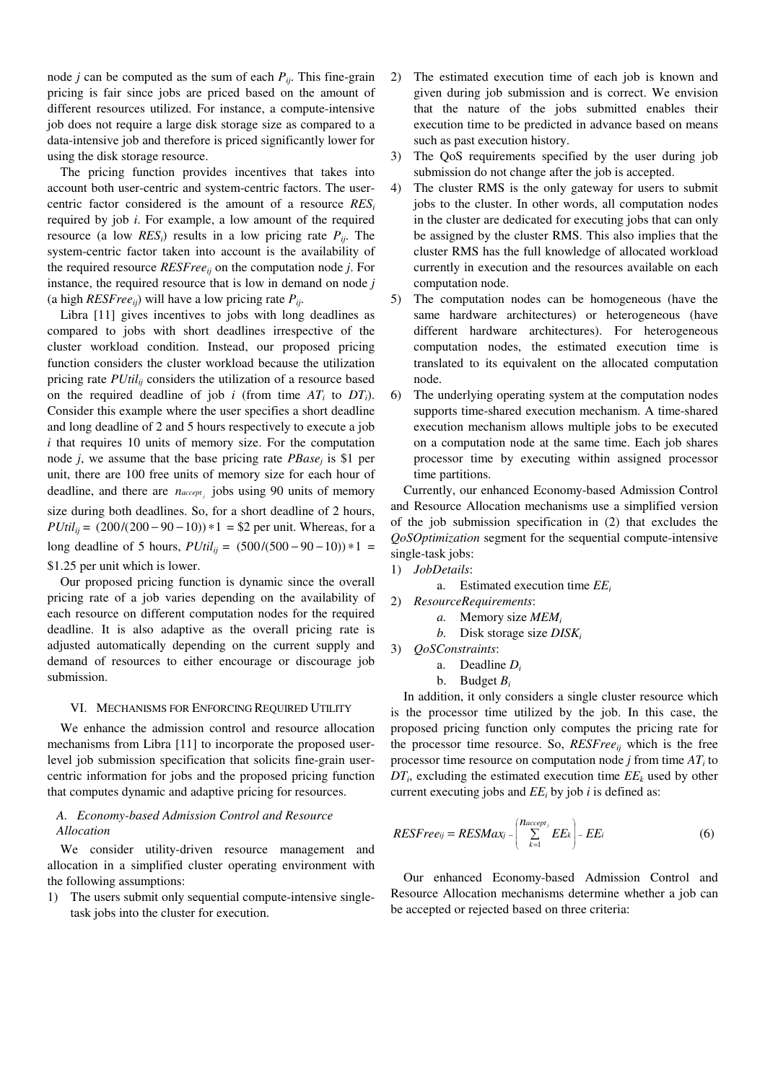node *j* can be computed as the sum of each *Pij* . This fine-grain pricing is fair since jobs are priced based on the amount of different resources utilized. For instance, a compute-intensive job does not require a large disk storage size as compared to a data-intensive job and therefore is priced significantly lower for using the disk storage resource.

The pricing function provides incentives that takes into account both user-centric and system-centric factors. The usercentric factor considered is the amount of a resource *RES<sup>i</sup>* required by job *i*. For example, a low amount of the required resource (a low *RESi*) results in a low pricing rate *Pij* . The system-centric factor taken into account is the availability of the required resource *RESFreeij* on the computation node *j*. For instance, the required resource that is low in demand on node *j* (a high *RESFreeij*) will have a low pricing rate *Pij* .

Libra [11] gives incentives to jobs with long deadlines as compared to jobs with short deadlines irrespective of the cluster workload condition. Instead, our proposed pricing function considers the cluster workload because the utilization pricing rate *PUtilij* considers the utilization of a resource based on the required deadline of job *i* (from time  $AT_i$  to  $DT_i$ ). Consider this example where the user specifies a short deadline and long deadline of 2 and 5 hours respectively to execute a job *i* that requires 10 units of memory size. For the computation node *j*, we assume that the base pricing rate *PBase<sup>j</sup>* is \$1 per unit, there are 100 free units of memory size for each hour of deadline, and there are *naccept* j jobs using 90 units of memory size during both deadlines. So, for a short deadline of 2 hours, *PUtil*<sub>ij</sub> =  $(200/(200-90-10))*1 = $2$  per unit. Whereas, for a long deadline of 5 hours,  $PUtil_{ij}$  = (500/(500 − 90 − 10)) \*1 = \$1.25 per unit which is lower.

Our proposed pricing function is dynamic since the overall pricing rate of a job varies depending on the availability of each resource on different computation nodes for the required deadline. It is also adaptive as the overall pricing rate is adjusted automatically depending on the current supply and demand of resources to either encourage or discourage job submission.

#### VI. MECHANISMS FOR ENFORCING REQUIRED UTILITY

We enhance the admission control and resource allocation mechanisms from Libra [11] to incorporate the proposed userlevel job submission specification that solicits fine-grain usercentric information for jobs and the proposed pricing function that computes dynamic and adaptive pricing for resources.

## *A. Economy-based Admission Control and Resource Allocation*

We consider utility-driven resource management and allocation in a simplified cluster operating environment with the following assumptions:

1) The users submit only sequential compute-intensive singletask jobs into the cluster for execution.

- 2) The estimated execution time of each job is known and given during job submission and is correct. We envision that the nature of the jobs submitted enables their execution time to be predicted in advance based on means such as past execution history.
- 3) The QoS requirements specified by the user during job submission do not change after the job is accepted.
- 4) The cluster RMS is the only gateway for users to submit jobs to the cluster. In other words, all computation nodes in the cluster are dedicated for executing jobs that can only be assigned by the cluster RMS. This also implies that the cluster RMS has the full knowledge of allocated workload currently in execution and the resources available on each computation node.
- 5) The computation nodes can be homogeneous (have the same hardware architectures) or heterogeneous (have different hardware architectures). For heterogeneous computation nodes, the estimated execution time is translated to its equivalent on the allocated computation node.
- 6) The underlying operating system at the computation nodes supports time-shared execution mechanism. A time-shared execution mechanism allows multiple jobs to be executed on a computation node at the same time. Each job shares processor time by executing within assigned processor time partitions.

Currently, our enhanced Economy-based Admission Control and Resource Allocation mechanisms use a simplified version of the job submission specification in (2) that excludes the *QoSOptimization* segment for the sequential compute-intensive single-task jobs:

1) *JobDetails*:

a. Estimated execution time *EE<sup>i</sup>*

- 2) *ResourceRequirements*:
	- *a.* Memory size *MEM<sup>i</sup>*
	- *b.* Disk storage size *DISK<sup>i</sup>*
- 3) *QoSConstraints*:
	- a. Deadline *D<sup>i</sup>*
	- b. Budget  $B_i$

In addition, it only considers a single cluster resource which is the processor time utilized by the job. In this case, the proposed pricing function only computes the pricing rate for the processor time resource. So, *RESFreeij* which is the free processor time resource on computation node *j* from time *AT<sup>i</sup>* to  $DT_i$ , excluding the estimated execution time  $EE_k$  used by other current executing jobs and *EE<sup>i</sup>* by job *i* is defined as:

$$
RESFree_{ij} = RESMax_j - \left(\sum_{k=1}^{Naccept_j} EE_k\right) - EE_i
$$
 (6)

Our enhanced Economy-based Admission Control and Resource Allocation mechanisms determine whether a job can be accepted or rejected based on three criteria: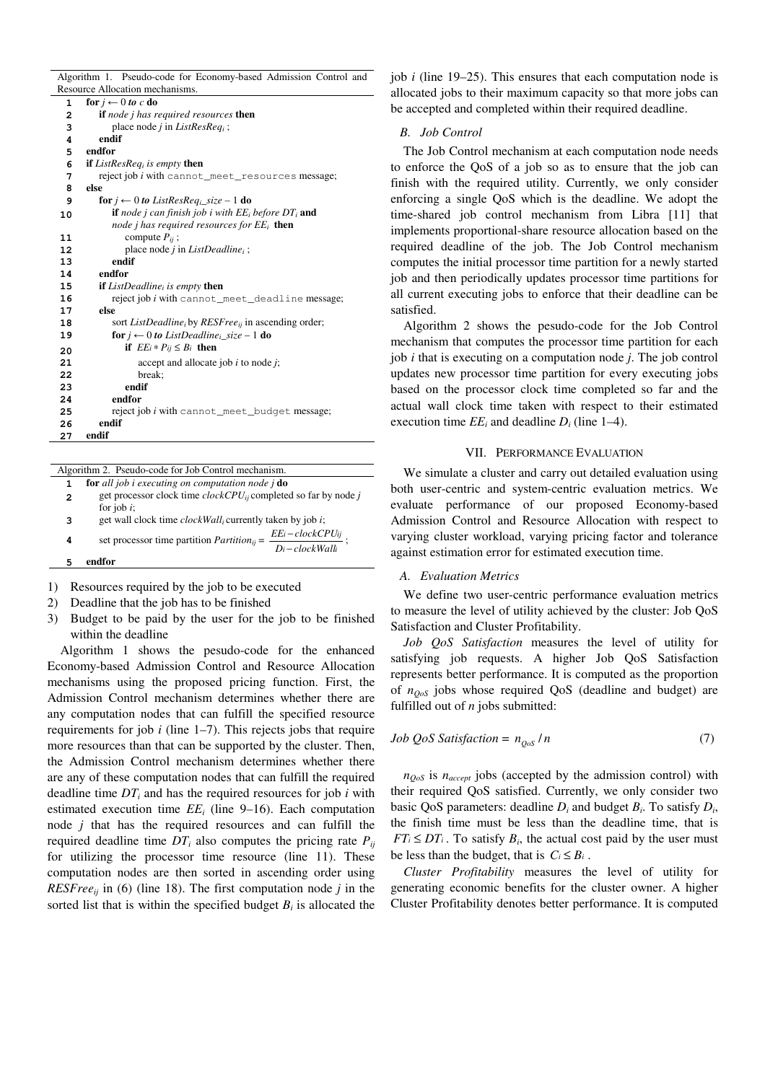Algorithm 1. Pseudo-code for Economy-based Admission Control and Resource Allocation mechanisms.

|    | Resource Anocation mechanisms.                                                |
|----|-------------------------------------------------------------------------------|
| 1  | for $i \leftarrow 0$ to c do                                                  |
| 2  | if node j has required resources then                                         |
| 3  | place node <i>i</i> in <i>ListResReq<sub>i</sub></i> ;                        |
| 4  | endif                                                                         |
| 5  | endfor                                                                        |
| 6  | <b>if</b> ListResReq <sub>i</sub> is empty <b>then</b>                        |
| 7  | reject job i with cannot_meet_resources message;                              |
| 8  | else                                                                          |
| 9  | <b>for</b> $i \leftarrow 0$ to ListResReq <sub>i</sub> _size – 1 <b>do</b>    |
| 10 | <b>if</b> node <i>j</i> can finish job <i>i</i> with $EE_i$ before $DT_i$ and |
|    | node <i>i</i> has required resources for $EE_i$ then                          |
| 11 | compute $P_{ii}$ ;                                                            |
| 12 | place node <i>i</i> in <i>ListDeadline<sub>i</sub></i> ;                      |
| 13 | endif                                                                         |
| 14 | endfor                                                                        |
| 15 | <b>if</b> ListDeadline <sub>i</sub> is empty <b>then</b>                      |
| 16 | reject job <i>i</i> with cannot_meet_deadline message;                        |
| 17 | else                                                                          |
| 18 | sort <i>ListDeadline</i> by <i>RESFree</i> <sub>ii</sub> in ascending order;  |
| 19 | <b>for</b> $j \leftarrow 0$ to ListDeadline <sub>i</sub> _size – 1 <b>do</b>  |
| 20 | if $EE_i * P_{ij} \leq B_i$ then                                              |
| 21 | accept and allocate job $i$ to node $j$ ;                                     |
| 22 | break;                                                                        |
| 23 | endif                                                                         |
| 24 | endfor                                                                        |
| 25 | reject job <i>i</i> with cannot_meet_budget message;                          |
| 26 | endif                                                                         |
| 27 | endif                                                                         |
|    |                                                                               |

| Algorithm 2. Pseudo-code for Job Control mechanism. |
|-----------------------------------------------------|
|                                                     |

|   | <b>for</b> all job <i>i</i> executing on computation node <i>j</i> <b>do</b>                       |
|---|----------------------------------------------------------------------------------------------------|
| 2 | get processor clock time $clockCPU_{ii}$ completed so far by node j                                |
|   | for job $i$ ;                                                                                      |
| 3 | get wall clock time <i>clockWall<sub>i</sub></i> currently taken by job <i>i</i> ;                 |
| 4 | $EE$ i – clock $CPU_{ij}$<br>set processor time partition $Partition_{ii} =$<br>$Di - clock Walli$ |

- **5 endfor**
- 1) Resources required by the job to be executed
- 2) Deadline that the job has to be finished
- 3) Budget to be paid by the user for the job to be finished within the deadline

Algorithm 1 shows the pesudo-code for the enhanced Economy-based Admission Control and Resource Allocation mechanisms using the proposed pricing function. First, the Admission Control mechanism determines whether there are any computation nodes that can fulfill the specified resource requirements for job *i* (line 1–7). This rejects jobs that require more resources than that can be supported by the cluster. Then, the Admission Control mechanism determines whether there are any of these computation nodes that can fulfill the required deadline time *DT<sup>i</sup>* and has the required resources for job *i* with estimated execution time *EE<sup>i</sup>* (line 9–16). Each computation node *j* that has the required resources and can fulfill the required deadline time  $DT_i$  also computes the pricing rate  $P_{ij}$ for utilizing the processor time resource (line 11). These computation nodes are then sorted in ascending order using *RESFreeij* in (6) (line 18). The first computation node *j* in the sorted list that is within the specified budget  $B_i$  is allocated the

job *i* (line 19–25). This ensures that each computation node is allocated jobs to their maximum capacity so that more jobs can be accepted and completed within their required deadline.

#### *B. Job Control*

The Job Control mechanism at each computation node needs to enforce the QoS of a job so as to ensure that the job can finish with the required utility. Currently, we only consider enforcing a single QoS which is the deadline. We adopt the time-shared job control mechanism from Libra [11] that implements proportional-share resource allocation based on the required deadline of the job. The Job Control mechanism computes the initial processor time partition for a newly started job and then periodically updates processor time partitions for all current executing jobs to enforce that their deadline can be satisfied.

Algorithm 2 shows the pesudo-code for the Job Control mechanism that computes the processor time partition for each job *i* that is executing on a computation node *j*. The job control updates new processor time partition for every executing jobs based on the processor clock time completed so far and the actual wall clock time taken with respect to their estimated execution time  $EE_i$  and deadline  $D_i$  (line 1–4).

#### VII. PERFORMANCE EVALUATION

We simulate a cluster and carry out detailed evaluation using both user-centric and system-centric evaluation metrics. We evaluate performance of our proposed Economy-based Admission Control and Resource Allocation with respect to varying cluster workload, varying pricing factor and tolerance against estimation error for estimated execution time.

#### *A. Evaluation Metrics*

We define two user-centric performance evaluation metrics to measure the level of utility achieved by the cluster: Job QoS Satisfaction and Cluster Profitability.

*Job QoS Satisfaction* measures the level of utility for satisfying job requests. A higher Job QoS Satisfaction represents better performance. It is computed as the proportion of *nQoS* jobs whose required QoS (deadline and budget) are fulfilled out of *n* jobs submitted:

$$
Job QoS Satisfactor = nQoS / n
$$
 (7)

 $n_{QoS}$  is  $n_{accept}$  jobs (accepted by the admission control) with their required QoS satisfied. Currently, we only consider two basic QoS parameters: deadline  $D_i$  and budget  $B_i$ . To satisfy  $D_i$ , the finish time must be less than the deadline time, that is  $FT_i \leq DT_i$ . To satisfy  $B_i$ , the actual cost paid by the user must be less than the budget, that is  $C_i \leq B_i$ .

*Cluster Profitability* measures the level of utility for generating economic benefits for the cluster owner. A higher Cluster Profitability denotes better performance. It is computed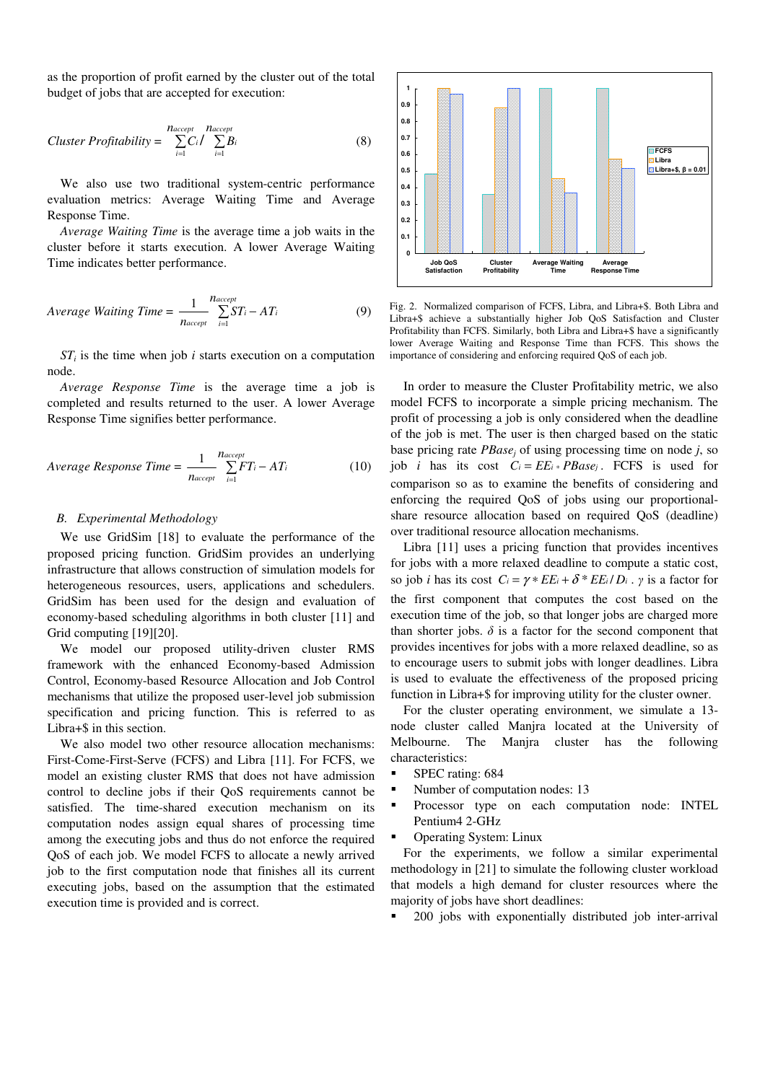as the proportion of profit earned by the cluster out of the total budget of jobs that are accepted for execution:

Cluster Profitability = 
$$
\sum_{i=1}^{Naccept} C_i / \sum_{i=1}^{Naccept} B_i
$$
 (8)

We also use two traditional system-centric performance evaluation metrics: Average Waiting Time and Average Response Time.

*Average Waiting Time* is the average time a job waits in the cluster before it starts execution. A lower Average Waiting Time indicates better performance.

$$
Average \text{ Waiting Time} = \frac{1}{n_{accept}} \sum_{i=1}^{n_{accept}} ST_i - AT_i \tag{9}
$$

 $ST_i$  is the time when job *i* starts execution on a computation node.

*Average Response Time* is the average time a job is completed and results returned to the user. A lower Average Response Time signifies better performance.

$$
Average Response Time = \frac{1}{n_{accept}} \sum_{i=1}^{n_{accept}} FT_i - AT_i
$$
 (10)

#### *B. Experimental Methodology*

We use GridSim [18] to evaluate the performance of the proposed pricing function. GridSim provides an underlying infrastructure that allows construction of simulation models for heterogeneous resources, users, applications and schedulers. GridSim has been used for the design and evaluation of economy-based scheduling algorithms in both cluster [11] and Grid computing [19][20].

We model our proposed utility-driven cluster RMS framework with the enhanced Economy-based Admission Control, Economy-based Resource Allocation and Job Control mechanisms that utilize the proposed user-level job submission specification and pricing function. This is referred to as Libra+\$ in this section.

We also model two other resource allocation mechanisms: First-Come-First-Serve (FCFS) and Libra [11]. For FCFS, we model an existing cluster RMS that does not have admission control to decline jobs if their QoS requirements cannot be satisfied. The time-shared execution mechanism on its computation nodes assign equal shares of processing time among the executing jobs and thus do not enforce the required QoS of each job. We model FCFS to allocate a newly arrived job to the first computation node that finishes all its current executing jobs, based on the assumption that the estimated execution time is provided and is correct.



Fig. 2. Normalized comparison of FCFS, Libra, and Libra+\$. Both Libra and Libra+\$ achieve a substantially higher Job QoS Satisfaction and Cluster Profitability than FCFS. Similarly, both Libra and Libra+\$ have a significantly lower Average Waiting and Response Time than FCFS. This shows the importance of considering and enforcing required QoS of each job.

In order to measure the Cluster Profitability metric, we also model FCFS to incorporate a simple pricing mechanism. The profit of processing a job is only considered when the deadline of the job is met. The user is then charged based on the static base pricing rate *PBase<sup>j</sup>* of using processing time on node *j*, so job *i* has its cost  $C_i = EE_i * PBase_j$ . FCFS is used for comparison so as to examine the benefits of considering and enforcing the required QoS of jobs using our proportionalshare resource allocation based on required QoS (deadline) over traditional resource allocation mechanisms.

Libra [11] uses a pricing function that provides incentives for jobs with a more relaxed deadline to compute a static cost, so job *i* has its cost  $C_i = \gamma * EE_i + \delta * EE_i/D_i$ .  $\gamma$  is a factor for the first component that computes the cost based on the execution time of the job, so that longer jobs are charged more than shorter jobs.  $\delta$  is a factor for the second component that provides incentives for jobs with a more relaxed deadline, so as to encourage users to submit jobs with longer deadlines. Libra is used to evaluate the effectiveness of the proposed pricing function in Libra+\$ for improving utility for the cluster owner.

For the cluster operating environment, we simulate a 13 node cluster called Manjra located at the University of Melbourne. The Manjra cluster has the following characteristics:

- **SPEC** rating: 684
- Number of computation nodes: 13
- Processor type on each computation node: INTEL Pentium4 2-GHz
- Operating System: Linux

For the experiments, we follow a similar experimental methodology in [21] to simulate the following cluster workload that models a high demand for cluster resources where the majority of jobs have short deadlines:

200 jobs with exponentially distributed job inter-arrival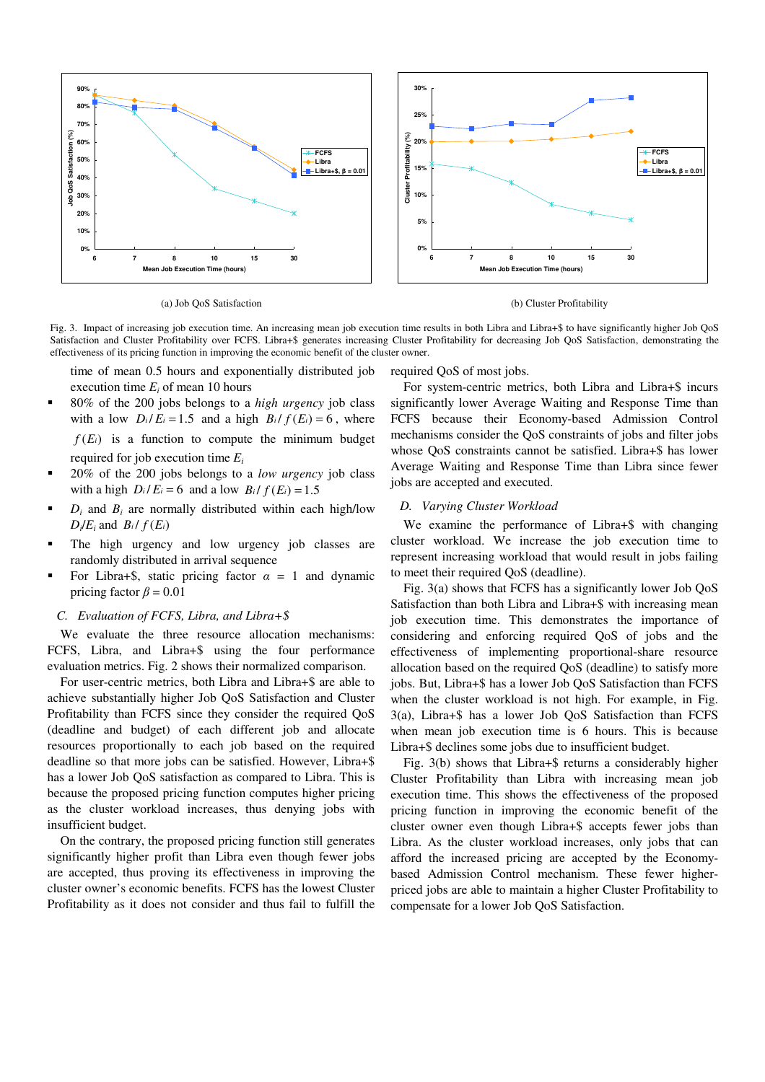

(a) Job QoS Satisfaction (b) Cluster Profitability

Fig. 3. Impact of increasing job execution time. An increasing mean job execution time results in both Libra and Libra+\$ to have significantly higher Job QoS Satisfaction and Cluster Profitability over FCFS. Libra+\$ generates increasing Cluster Profitability for decreasing Job QoS Satisfaction, demonstrating the effectiveness of its pricing function in improving the economic benefit of the cluster owner.

time of mean 0.5 hours and exponentially distributed job execution time  $E_i$  of mean 10 hours

 80% of the 200 jobs belongs to a *high urgency* job class with a low  $D_i/E_i = 1.5$  and a high  $B_i/f(E_i) = 6$ , where  $f(E_i)$  is a function to compute the minimum budget

required for job execution time *E<sup>i</sup>*

- 20% of the 200 jobs belongs to a *low urgency* job class with a high  $D_i/E_i = 6$  and a low  $B_i / f(E_i) = 1.5$
- $D_i$  and  $B_i$  are normally distributed within each high/low  $D_i/E_i$  and  $B_i/f(E_i)$
- The high urgency and low urgency job classes are randomly distributed in arrival sequence
- For Libra+\$, static pricing factor  $\alpha = 1$  and dynamic pricing factor  $\beta = 0.01$

#### *C. Evaluation of FCFS, Libra, and Libra+\$*

We evaluate the three resource allocation mechanisms: FCFS, Libra, and Libra+\$ using the four performance evaluation metrics. Fig. 2 shows their normalized comparison.

For user-centric metrics, both Libra and Libra+\$ are able to achieve substantially higher Job QoS Satisfaction and Cluster Profitability than FCFS since they consider the required QoS (deadline and budget) of each different job and allocate resources proportionally to each job based on the required deadline so that more jobs can be satisfied. However, Libra+\$ has a lower Job QoS satisfaction as compared to Libra. This is because the proposed pricing function computes higher pricing as the cluster workload increases, thus denying jobs with insufficient budget.

On the contrary, the proposed pricing function still generates significantly higher profit than Libra even though fewer jobs are accepted, thus proving its effectiveness in improving the cluster owner's economic benefits. FCFS has the lowest Cluster Profitability as it does not consider and thus fail to fulfill the

required QoS of most jobs.

For system-centric metrics, both Libra and Libra+\$ incurs significantly lower Average Waiting and Response Time than FCFS because their Economy-based Admission Control mechanisms consider the QoS constraints of jobs and filter jobs whose OoS constraints cannot be satisfied. Libra+\$ has lower Average Waiting and Response Time than Libra since fewer jobs are accepted and executed.

#### *D. Varying Cluster Workload*

We examine the performance of Libra+\$ with changing cluster workload. We increase the job execution time to represent increasing workload that would result in jobs failing to meet their required QoS (deadline).

Fig. 3(a) shows that FCFS has a significantly lower Job QoS Satisfaction than both Libra and Libra+\$ with increasing mean job execution time. This demonstrates the importance of considering and enforcing required QoS of jobs and the effectiveness of implementing proportional-share resource allocation based on the required QoS (deadline) to satisfy more jobs. But, Libra+\$ has a lower Job QoS Satisfaction than FCFS when the cluster workload is not high. For example, in Fig. 3(a), Libra+\$ has a lower Job QoS Satisfaction than FCFS when mean job execution time is 6 hours. This is because Libra+\$ declines some jobs due to insufficient budget.

Fig. 3(b) shows that Libra+\$ returns a considerably higher Cluster Profitability than Libra with increasing mean job execution time. This shows the effectiveness of the proposed pricing function in improving the economic benefit of the cluster owner even though Libra+\$ accepts fewer jobs than Libra. As the cluster workload increases, only jobs that can afford the increased pricing are accepted by the Economybased Admission Control mechanism. These fewer higherpriced jobs are able to maintain a higher Cluster Profitability to compensate for a lower Job QoS Satisfaction.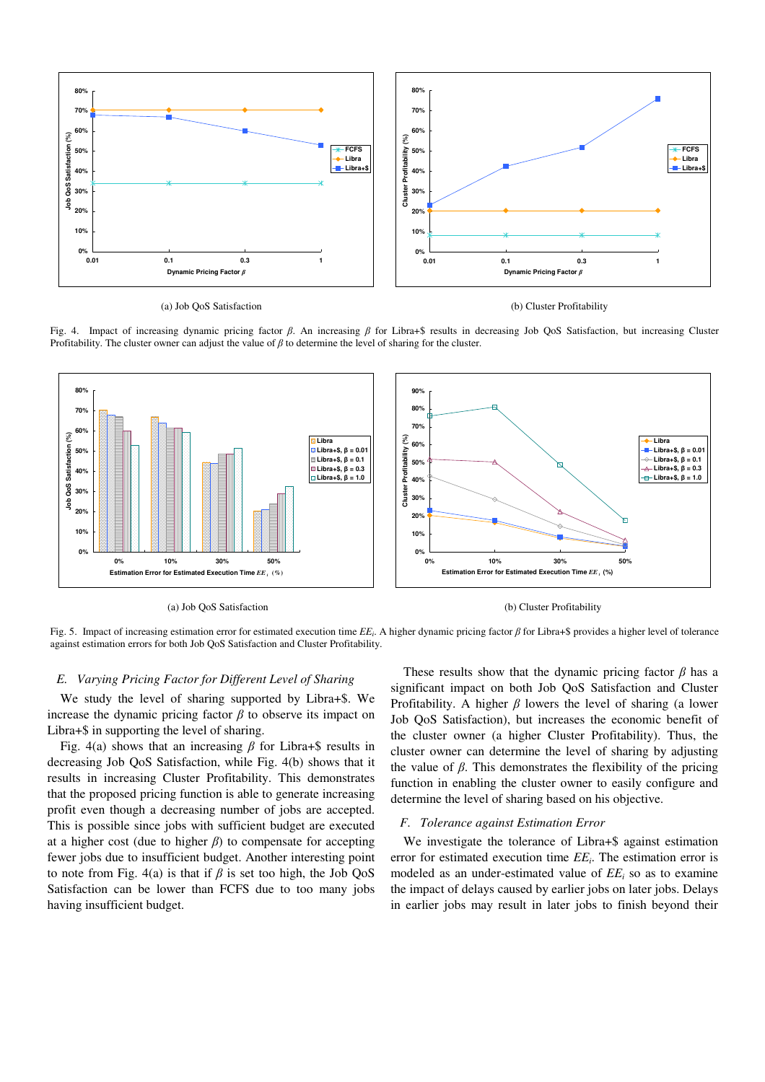

(a) Job QoS Satisfaction (b) Cluster Profitability

Fig. 4. Impact of increasing dynamic pricing factor  $\beta$ . An increasing  $\beta$  for Libra+\$ results in decreasing Job QoS Satisfaction, but increasing Cluster Profitability. The cluster owner can adjust the value of  $\beta$  to determine the level of sharing for the cluster.



(a) Job QoS Satisfaction (b) Cluster Profitability

Fig. 5. Impact of increasing estimation error for estimated execution time  $EE_i$ . A higher dynamic pricing factor  $\beta$  for Libra+\$ provides a higher level of tolerance against estimation errors for both Job QoS Satisfaction and Cluster Profitability.

#### *E. Varying Pricing Factor for Different Level of Sharing*

We study the level of sharing supported by Libra+\$. We increase the dynamic pricing factor  $\beta$  to observe its impact on Libra+\$ in supporting the level of sharing.

Fig. 4(a) shows that an increasing  $\beta$  for Libra+\$ results in decreasing Job QoS Satisfaction, while Fig. 4(b) shows that it results in increasing Cluster Profitability. This demonstrates that the proposed pricing function is able to generate increasing profit even though a decreasing number of jobs are accepted. This is possible since jobs with sufficient budget are executed at a higher cost (due to higher  $\beta$ ) to compensate for accepting fewer jobs due to insufficient budget. Another interesting point to note from Fig. 4(a) is that if  $\beta$  is set too high, the Job QoS Satisfaction can be lower than FCFS due to too many jobs having insufficient budget.

These results show that the dynamic pricing factor  $\beta$  has a significant impact on both Job QoS Satisfaction and Cluster Profitability. A higher  $\beta$  lowers the level of sharing (a lower Job QoS Satisfaction), but increases the economic benefit of the cluster owner (a higher Cluster Profitability). Thus, the cluster owner can determine the level of sharing by adjusting the value of  $\beta$ . This demonstrates the flexibility of the pricing function in enabling the cluster owner to easily configure and determine the level of sharing based on his objective.

#### *F. Tolerance against Estimation Error*

We investigate the tolerance of Libra+\$ against estimation error for estimated execution time *EE<sup>i</sup>* . The estimation error is modeled as an under-estimated value of *EE<sup>i</sup>* so as to examine the impact of delays caused by earlier jobs on later jobs. Delays in earlier jobs may result in later jobs to finish beyond their